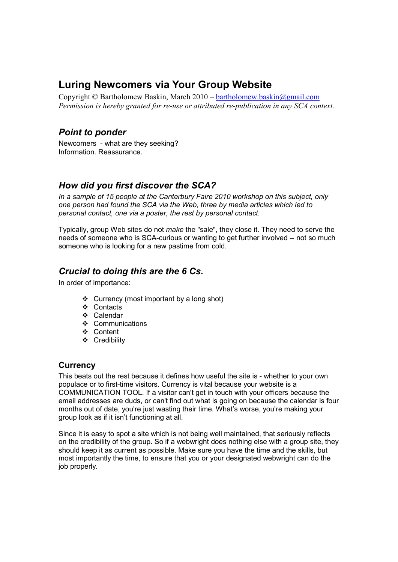# **Luring Newcomers via Your Group Website**

Copyright © Bartholomew Baskin, March 2010 – bartholomew.baskin@gmail.com *Permission is hereby granted for re-use or attributed re-publication in any SCA context.* 

### *Point to ponder*

Newcomers - what are they seeking? Information. Reassurance.

### *How did you first discover the SCA?*

*In a sample of 15 people at the Canterbury Faire 2010 workshop on this subject, only one person had found the SCA via the Web, three by media articles which led to personal contact, one via a poster, the rest by personal contact.* 

Typically, group Web sites do not *make* the "sale", they close it. They need to serve the needs of someone who is SCA-curious or wanting to get further involved -- not so much someone who is looking for a new pastime from cold.

### *Crucial to doing this are the 6 Cs.*

In order of importance:

- Currency (most important by a long shot)
- ❖ Contacts
- Calendar
- ❖ Communications
- Content
- Credibility

#### **Currency**

This beats out the rest because it defines how useful the site is - whether to your own populace or to first-time visitors. Currency is vital because your website is a COMMUNICATION TOOL. If a visitor can't get in touch with your officers because the email addresses are duds, or can't find out what is going on because the calendar is four months out of date, you're just wasting their time. What's worse, you're making your group look as if it isn't functioning at all.

Since it is easy to spot a site which is not being well maintained, that seriously reflects on the credibility of the group. So if a webwright does nothing else with a group site, they should keep it as current as possible. Make sure you have the time and the skills, but most importantly the time, to ensure that you or your designated webwright can do the job properly.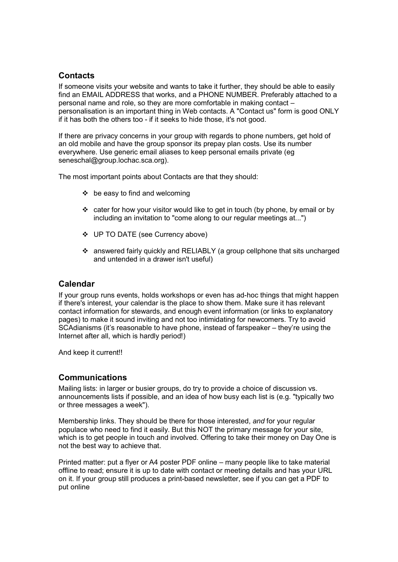### **Contacts**

If someone visits your website and wants to take it further, they should be able to easily find an EMAIL ADDRESS that works, and a PHONE NUMBER. Preferably attached to a personal name and role, so they are more comfortable in making contact – personalisation is an important thing in Web contacts. A "Contact us" form is good ONLY if it has both the others too - if it seeks to hide those, it's not good.

If there are privacy concerns in your group with regards to phone numbers, get hold of an old mobile and have the group sponsor its prepay plan costs. Use its number everywhere. Use generic email aliases to keep personal emails private (eg seneschal@group.lochac.sca.org).

The most important points about Contacts are that they should:

- $\div$  be easy to find and welcoming
- cater for how your visitor would like to get in touch (by phone, by email or by including an invitation to "come along to our regular meetings at...")
- UP TO DATE (see Currency above)
- answered fairly quickly and RELIABLY (a group cellphone that sits uncharged and untended in a drawer isn't useful)

#### **Calendar**

If your group runs events, holds workshops or even has ad-hoc things that might happen if there's interest, your calendar is the place to show them. Make sure it has relevant contact information for stewards, and enough event information (or links to explanatory pages) to make it sound inviting and not too intimidating for newcomers. Try to avoid SCAdianisms (it's reasonable to have phone, instead of farspeaker – they're using the Internet after all, which is hardly period!)

And keep it current!!

#### **Communications**

Mailing lists: in larger or busier groups, do try to provide a choice of discussion vs. announcements lists if possible, and an idea of how busy each list is (e.g. "typically two or three messages a week").

Membership links. They should be there for those interested, *and* for your regular populace who need to find it easily. But this NOT the primary message for your site, which is to get people in touch and involved. Offering to take their money on Day One is not the best way to achieve that.

Printed matter: put a flyer or A4 poster PDF online – many people like to take material offline to read; ensure it is up to date with contact or meeting details and has your URL on it. If your group still produces a print-based newsletter, see if you can get a PDF to put online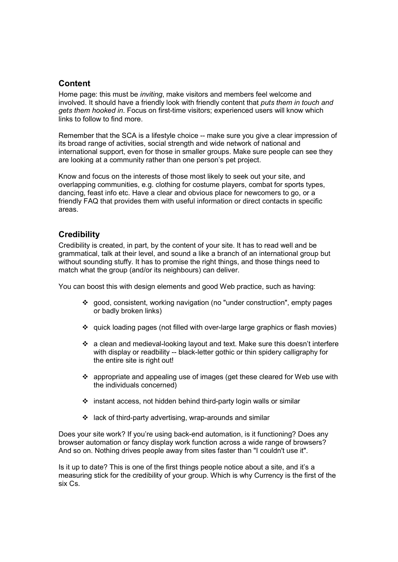#### **Content**

Home page: this must be *inviting*, make visitors and members feel welcome and involved. It should have a friendly look with friendly content that *puts them in touch and gets them hooked in*. Focus on first-time visitors; experienced users will know which links to follow to find more.

Remember that the SCA is a lifestyle choice -- make sure you give a clear impression of its broad range of activities, social strength and wide network of national and international support, even for those in smaller groups. Make sure people can see they are looking at a community rather than one person's pet project.

Know and focus on the interests of those most likely to seek out your site, and overlapping communities, e.g. clothing for costume players, combat for sports types, dancing, feast info etc. Have a clear and obvious place for newcomers to go, or a friendly FAQ that provides them with useful information or direct contacts in specific areas.

#### **Credibility**

Credibility is created, in part, by the content of your site. It has to read well and be grammatical, talk at their level, and sound a like a branch of an international group but without sounding stuffy. It has to promise the right things, and those things need to match what the group (and/or its neighbours) can deliver.

You can boost this with design elements and good Web practice, such as having:

- good, consistent, working navigation (no "under construction", empty pages or badly broken links)
- quick loading pages (not filled with over-large large graphics or flash movies)
- $\cdot \cdot$  a clean and medieval-looking layout and text. Make sure this doesn't interfere with display or readbility -- black-letter gothic or thin spidery calligraphy for the entire site is right out!
- $\div$  appropriate and appealing use of images (get these cleared for Web use with the individuals concerned)
- $\div$  instant access, not hidden behind third-party login walls or similar
- lack of third-party advertising, wrap-arounds and similar

Does your site work? If you're using back-end automation, is it functioning? Does any browser automation or fancy display work function across a wide range of browsers? And so on. Nothing drives people away from sites faster than "I couldn't use it".

Is it up to date? This is one of the first things people notice about a site, and it's a measuring stick for the credibility of your group. Which is why Currency is the first of the six Cs.